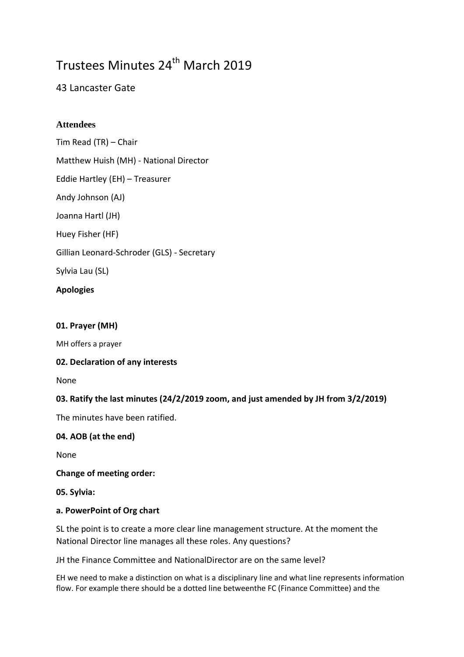# Trustees Minutes 24<sup>th</sup> March 2019

# 43 Lancaster Gate

# **Attendees**

Tim Read (TR) – Chair Matthew Huish (MH) - National Director Eddie Hartley (EH) – Treasurer Andy Johnson (AJ) Joanna Hartl (JH) Huey Fisher (HF) Gillian Leonard-Schroder (GLS) - Secretary Sylvia Lau (SL)

# **Apologies**

#### **01. Prayer (MH)**

MH offers a prayer

### **02. Declaration of any interests**

None

### **03. Ratify the last minutes (24/2/2019 zoom, and just amended by JH from 3/2/2019)**

The minutes have been ratified.

### **04. AOB (at the end)**

None

#### **Change of meeting order:**

**05. Sylvia:**

### **a. PowerPoint of Org chart**

SL the point is to create a more clear line management structure. At the moment the National Director line manages all these roles. Any questions?

JH the Finance Committee and NationalDirector are on the same level?

EH we need to make a distinction on what is a disciplinary line and what line represents information flow. For example there should be a dotted line betweenthe FC (Finance Committee) and the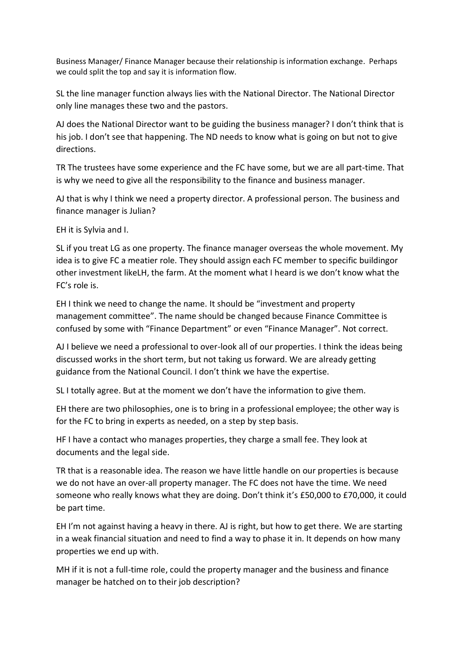Business Manager/ Finance Manager because their relationship is information exchange. Perhaps we could split the top and say it is information flow.

SL the line manager function always lies with the National Director. The National Director only line manages these two and the pastors.

AJ does the National Director want to be guiding the business manager? I don't think that is his job. I don't see that happening. The ND needs to know what is going on but not to give directions.

TR The trustees have some experience and the FC have some, but we are all part-time. That is why we need to give all the responsibility to the finance and business manager.

AJ that is why I think we need a property director. A professional person. The business and finance manager is Julian?

EH it is Sylvia and I.

SL if you treat LG as one property. The finance manager overseas the whole movement. My idea is to give FC a meatier role. They should assign each FC member to specific buildingor other investment likeLH, the farm. At the moment what I heard is we don't know what the FC's role is.

EH I think we need to change the name. It should be "investment and property management committee". The name should be changed because Finance Committee is confused by some with "Finance Department" or even "Finance Manager". Not correct.

AJ I believe we need a professional to over-look all of our properties. I think the ideas being discussed works in the short term, but not taking us forward. We are already getting guidance from the National Council. I don't think we have the expertise.

SL I totally agree. But at the moment we don't have the information to give them.

EH there are two philosophies, one is to bring in a professional employee; the other way is for the FC to bring in experts as needed, on a step by step basis.

HF I have a contact who manages properties, they charge a small fee. They look at documents and the legal side.

TR that is a reasonable idea. The reason we have little handle on our properties is because we do not have an over-all property manager. The FC does not have the time. We need someone who really knows what they are doing. Don't think it's £50,000 to £70,000, it could be part time.

EH I'm not against having a heavy in there. AJ is right, but how to get there. We are starting in a weak financial situation and need to find a way to phase it in. It depends on how many properties we end up with.

MH if it is not a full-time role, could the property manager and the business and finance manager be hatched on to their job description?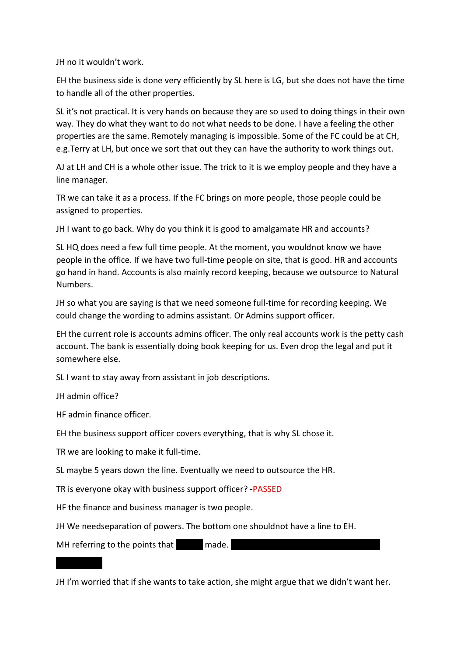JH no it wouldn't work.

EH the business side is done very efficiently by SL here is LG, but she does not have the time to handle all of the other properties.

SL it's not practical. It is very hands on because they are so used to doing things in their own way. They do what they want to do not what needs to be done. I have a feeling the other properties are the same. Remotely managing is impossible. Some of the FC could be at CH, e.g.Terry at LH, but once we sort that out they can have the authority to work things out.

AJ at LH and CH is a whole other issue. The trick to it is we employ people and they have a line manager.

TR we can take it as a process. If the FC brings on more people, those people could be assigned to properties.

JH I want to go back. Why do you think it is good to amalgamate HR and accounts?

SL HQ does need a few full time people. At the moment, you wouldnot know we have people in the office. If we have two full-time people on site, that is good. HR and accounts go hand in hand. Accounts is also mainly record keeping, because we outsource to Natural Numbers.

JH so what you are saying is that we need someone full-time for recording keeping. We could change the wording to admins assistant. Or Admins support officer.

EH the current role is accounts admins officer. The only real accounts work is the petty cash account. The bank is essentially doing book keeping for us. Even drop the legal and put it somewhere else.

SL I want to stay away from assistant in job descriptions.

JH admin office?

HF admin finance officer.

EH the business support officer covers everything, that is why SL chose it.

TR we are looking to make it full-time.

SL maybe 5 years down the line. Eventually we need to outsource the HR.

TR is everyone okay with business support officer? -PASSED

HF the finance and business manager is two people.

JH We needseparation of powers. The bottom one shouldnot have a line to EH.

MH referring to the points that  $\Box$  made.

JH I'm worried that if she wants to take action, she might argue that we didn't want her.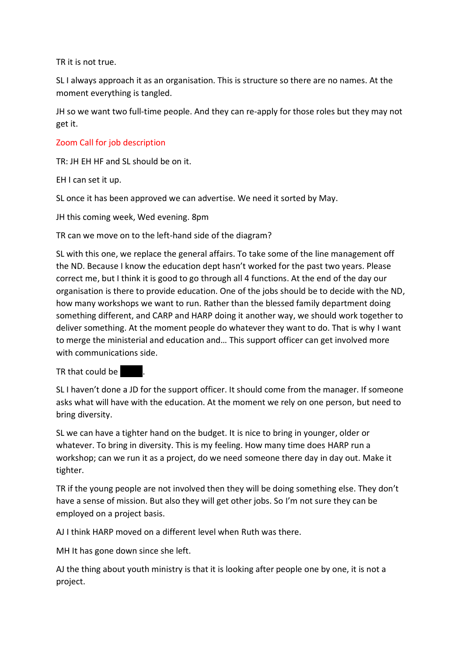TR it is not true.

SL I always approach it as an organisation. This is structure so there are no names. At the moment everything is tangled.

JH so we want two full-time people. And they can re-apply for those roles but they may not get it.

### Zoom Call for job description

TR: JH EH HF and SL should be on it.

EH I can set it up.

SL once it has been approved we can advertise. We need it sorted by May.

JH this coming week, Wed evening. 8pm

TR can we move on to the left-hand side of the diagram?

SL with this one, we replace the general affairs. To take some of the line management off the ND. Because I know the education dept hasn't worked for the past two years. Please correct me, but I think it is good to go through all 4 functions. At the end of the day our organisation is there to provide education. One of the jobs should be to decide with the ND, how many workshops we want to run. Rather than the blessed family department doing something different, and CARP and HARP doing it another way, we should work together to deliver something. At the moment people do whatever they want to do. That is why I want to merge the ministerial and education and… This support officer can get involved more with communications side.

TR that could be  $\blacksquare$ .

SL I haven't done a JD for the support officer. It should come from the manager. If someone asks what will have with the education. At the moment we rely on one person, but need to bring diversity.

SL we can have a tighter hand on the budget. It is nice to bring in younger, older or whatever. To bring in diversity. This is my feeling. How many time does HARP run a workshop; can we run it as a project, do we need someone there day in day out. Make it tighter.

TR if the young people are not involved then they will be doing something else. They don't have a sense of mission. But also they will get other jobs. So I'm not sure they can be employed on a project basis.

AJ I think HARP moved on a different level when Ruth was there.

MH It has gone down since she left.

AJ the thing about youth ministry is that it is looking after people one by one, it is not a project.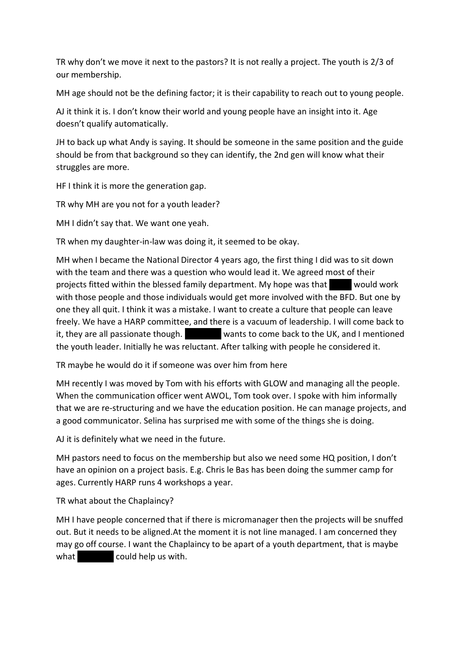TR why don't we move it next to the pastors? It is not really a project. The youth is 2/3 of our membership.

MH age should not be the defining factor; it is their capability to reach out to young people.

AJ it think it is. I don't know their world and young people have an insight into it. Age doesn't qualify automatically.

JH to back up what Andy is saying. It should be someone in the same position and the guide should be from that background so they can identify, the 2nd gen will know what their struggles are more.

HF I think it is more the generation gap.

TR why MH are you not for a youth leader?

MH I didn't say that. We want one yeah.

TR when my daughter-in-law was doing it, it seemed to be okay.

MH when I became the National Director 4 years ago, the first thing I did was to sit down with the team and there was a question who would lead it. We agreed most of their projects fitted within the blessed family department. My hope was that subsame would work with those people and those individuals would get more involved with the BFD. But one by one they all quit. I think it was a mistake. I want to create a culture that people can leave freely. We have a HARP committee, and there is a vacuum of leadership. I will come back to it, they are all passionate though. Reamond wants to come back to the UK, and I mentioned the youth leader. Initially he was reluctant. After talking with people he considered it.

TR maybe he would do it if someone was over him from here

MH recently I was moved by Tom with his efforts with GLOW and managing all the people. When the communication officer went AWOL, Tom took over. I spoke with him informally that we are re-structuring and we have the education position. He can manage projects, and a good communicator. Selina has surprised me with some of the things she is doing.

AJ it is definitely what we need in the future.

MH pastors need to focus on the membership but also we need some HQ position, I don't have an opinion on a project basis. E.g. Chris le Bas has been doing the summer camp for ages. Currently HARP runs 4 workshops a year.

TR what about the Chaplaincy?

MH I have people concerned that if there is micromanager then the projects will be snuffed out. But it needs to be aligned.At the moment it is not line managed. I am concerned they may go off course. I want the Chaplaincy to be apart of a youth department, that is maybe what could help us with.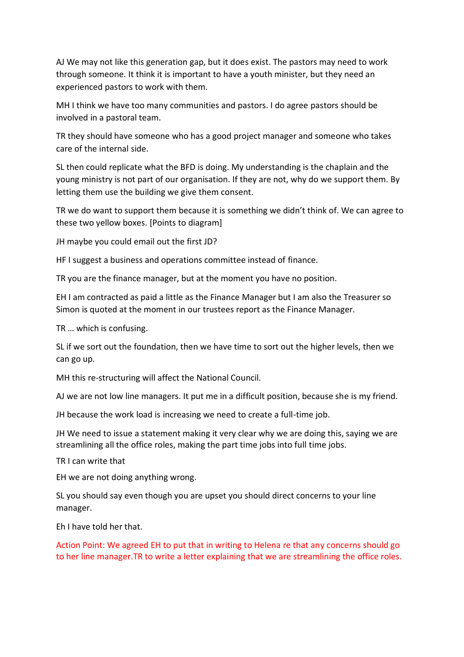AJ We may not like this generation gap, but it does exist. The pastors may need to work through someone. It think it is important to have a youth minister, but they need an experienced pastors to work with them.

MH I think we have too many communities and pastors. I do agree pastors should be involved in a pastoral team.

TR they should have someone who has a good project manager and someone who takes care of the internal side.

SL then could replicate what the BFD is doing. My understanding is the chaplain and the young ministry is not part of our organisation. If they are not, why do we support them. By letting them use the building we give them consent.

TR we do want to support them because it is something we didn't think of. We can agree to these two yellow boxes. [Points to diagram]

JH maybe you could email out the first JD?

HF I suggest a business and operations committee instead of finance.

TR you are the finance manager, but at the moment you have no position.

EH I am contracted as paid a little as the Finance Manager but I am also the Treasurer so Simon is quoted at the moment in our trustees report as the Finance Manager.

TR … which is confusing.

SL if we sort out the foundation, then we have time to sort out the higher levels, then we can go up.

MH this re-structuring will affect the National Council.

AJ we are not low line managers. It put me in a difficult position, because she is my friend.

JH because the work load is increasing we need to create a full-time job.

JH We need to issue a statement making it very clear why we are doing this, saying we are streamlining all the office roles, making the part time jobs into full time jobs.

TR I can write that

EH we are not doing anything wrong.

SL you should say even though you are upset you should direct concerns to your line manager.

Eh I have told her that.

Action Point: We agreed EH to put that in writing to Helena re that any concerns should go to her line manager.TR to write a letter explaining that we are streamlining the office roles.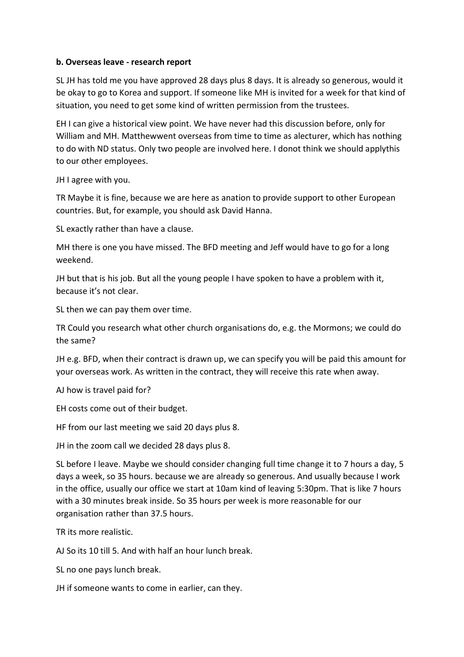#### **b. Overseas leave - research report**

SL JH has told me you have approved 28 days plus 8 days. It is already so generous, would it be okay to go to Korea and support. If someone like MH is invited for a week for that kind of situation, you need to get some kind of written permission from the trustees.

EH I can give a historical view point. We have never had this discussion before, only for William and MH. Matthewwent overseas from time to time as alecturer, which has nothing to do with ND status. Only two people are involved here. I donot think we should applythis to our other employees.

JH I agree with you.

TR Maybe it is fine, because we are here as anation to provide support to other European countries. But, for example, you should ask David Hanna.

SL exactly rather than have a clause.

MH there is one you have missed. The BFD meeting and Jeff would have to go for a long weekend.

JH but that is his job. But all the young people I have spoken to have a problem with it, because it's not clear.

SL then we can pay them over time.

TR Could you research what other church organisations do, e.g. the Mormons; we could do the same?

JH e.g. BFD, when their contract is drawn up, we can specify you will be paid this amount for your overseas work. As written in the contract, they will receive this rate when away.

AJ how is travel paid for?

EH costs come out of their budget.

HF from our last meeting we said 20 days plus 8.

JH in the zoom call we decided 28 days plus 8.

SL before I leave. Maybe we should consider changing full time change it to 7 hours a day, 5 days a week, so 35 hours. because we are already so generous. And usually because I work in the office, usually our office we start at 10am kind of leaving 5:30pm. That is like 7 hours with a 30 minutes break inside. So 35 hours per week is more reasonable for our organisation rather than 37.5 hours.

TR its more realistic.

AJ So its 10 till 5. And with half an hour lunch break.

SL no one pays lunch break.

JH if someone wants to come in earlier, can they.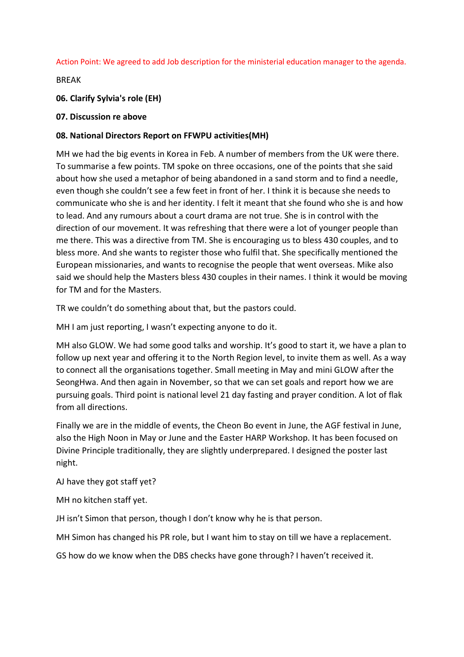Action Point: We agreed to add Job description for the ministerial education manager to the agenda.

BREAK

**06. Clarify Sylvia's role (EH)**

#### **07. Discussion re above**

#### **08. National Directors Report on FFWPU activities(MH)**

MH we had the big events in Korea in Feb. A number of members from the UK were there. To summarise a few points. TM spoke on three occasions, one of the points that she said about how she used a metaphor of being abandoned in a sand storm and to find a needle, even though she couldn't see a few feet in front of her. I think it is because she needs to communicate who she is and her identity. I felt it meant that she found who she is and how to lead. And any rumours about a court drama are not true. She is in control with the direction of our movement. It was refreshing that there were a lot of younger people than me there. This was a directive from TM. She is encouraging us to bless 430 couples, and to bless more. And she wants to register those who fulfil that. She specifically mentioned the European missionaries, and wants to recognise the people that went overseas. Mike also said we should help the Masters bless 430 couples in their names. I think it would be moving for TM and for the Masters.

TR we couldn't do something about that, but the pastors could.

MH I am just reporting, I wasn't expecting anyone to do it.

MH also GLOW. We had some good talks and worship. It's good to start it, we have a plan to follow up next year and offering it to the North Region level, to invite them as well. As a way to connect all the organisations together. Small meeting in May and mini GLOW after the SeongHwa. And then again in November, so that we can set goals and report how we are pursuing goals. Third point is national level 21 day fasting and prayer condition. A lot of flak from all directions.

Finally we are in the middle of events, the Cheon Bo event in June, the AGF festival in June, also the High Noon in May or June and the Easter HARP Workshop. It has been focused on Divine Principle traditionally, they are slightly underprepared. I designed the poster last night.

AJ have they got staff yet?

MH no kitchen staff yet.

JH isn't Simon that person, though I don't know why he is that person.

MH Simon has changed his PR role, but I want him to stay on till we have a replacement.

GS how do we know when the DBS checks have gone through? I haven't received it.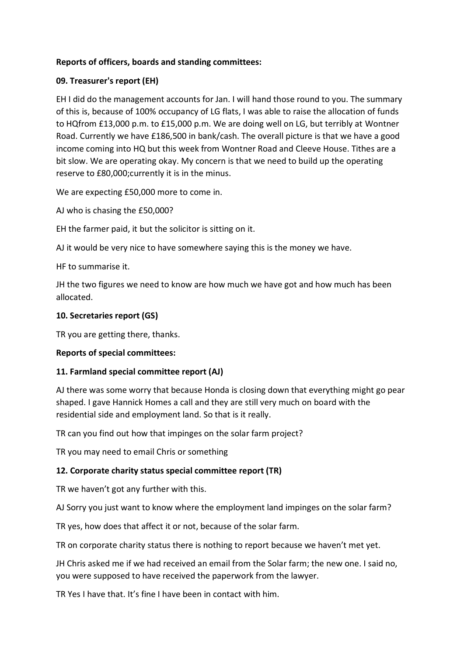### **Reports of officers, boards and standing committees:**

# **09. Treasurer's report (EH)**

EH I did do the management accounts for Jan. I will hand those round to you. The summary of this is, because of 100% occupancy of LG flats, I was able to raise the allocation of funds to HQfrom £13,000 p.m. to £15,000 p.m. We are doing well on LG, but terribly at Wontner Road. Currently we have £186,500 in bank/cash. The overall picture is that we have a good income coming into HQ but this week from Wontner Road and Cleeve House. Tithes are a bit slow. We are operating okay. My concern is that we need to build up the operating reserve to £80,000;currently it is in the minus.

We are expecting £50,000 more to come in.

AJ who is chasing the £50,000?

EH the farmer paid, it but the solicitor is sitting on it.

AJ it would be very nice to have somewhere saying this is the money we have.

HF to summarise it.

JH the two figures we need to know are how much we have got and how much has been allocated.

# **10. Secretaries report (GS)**

TR you are getting there, thanks.

### **Reports of special committees:**

### **11. Farmland special committee report (AJ)**

AJ there was some worry that because Honda is closing down that everything might go pear shaped. I gave Hannick Homes a call and they are still very much on board with the residential side and employment land. So that is it really.

TR can you find out how that impinges on the solar farm project?

TR you may need to email Chris or something

# **12. Corporate charity status special committee report (TR)**

TR we haven't got any further with this.

AJ Sorry you just want to know where the employment land impinges on the solar farm?

TR yes, how does that affect it or not, because of the solar farm.

TR on corporate charity status there is nothing to report because we haven't met yet.

JH Chris asked me if we had received an email from the Solar farm; the new one. I said no, you were supposed to have received the paperwork from the lawyer.

TR Yes I have that. It's fine I have been in contact with him.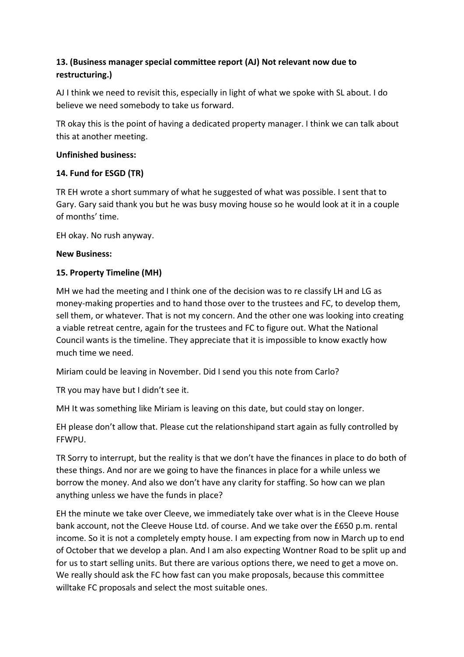# **13. (Business manager special committee report (AJ) Not relevant now due to restructuring.)**

AJ I think we need to revisit this, especially in light of what we spoke with SL about. I do believe we need somebody to take us forward.

TR okay this is the point of having a dedicated property manager. I think we can talk about this at another meeting.

### **Unfinished business:**

# **14. Fund for ESGD (TR)**

TR EH wrote a short summary of what he suggested of what was possible. I sent that to Gary. Gary said thank you but he was busy moving house so he would look at it in a couple of months' time.

EH okay. No rush anyway.

# **New Business:**

# **15. Property Timeline (MH)**

MH we had the meeting and I think one of the decision was to re classify LH and LG as money-making properties and to hand those over to the trustees and FC, to develop them, sell them, or whatever. That is not my concern. And the other one was looking into creating a viable retreat centre, again for the trustees and FC to figure out. What the National Council wants is the timeline. They appreciate that it is impossible to know exactly how much time we need.

Miriam could be leaving in November. Did I send you this note from Carlo?

TR you may have but I didn't see it.

MH It was something like Miriam is leaving on this date, but could stay on longer.

EH please don't allow that. Please cut the relationshipand start again as fully controlled by FFWPU.

TR Sorry to interrupt, but the reality is that we don't have the finances in place to do both of these things. And nor are we going to have the finances in place for a while unless we borrow the money. And also we don't have any clarity for staffing. So how can we plan anything unless we have the funds in place?

EH the minute we take over Cleeve, we immediately take over what is in the Cleeve House bank account, not the Cleeve House Ltd. of course. And we take over the £650 p.m. rental income. So it is not a completely empty house. I am expecting from now in March up to end of October that we develop a plan. And I am also expecting Wontner Road to be split up and for us to start selling units. But there are various options there, we need to get a move on. We really should ask the FC how fast can you make proposals, because this committee willtake FC proposals and select the most suitable ones.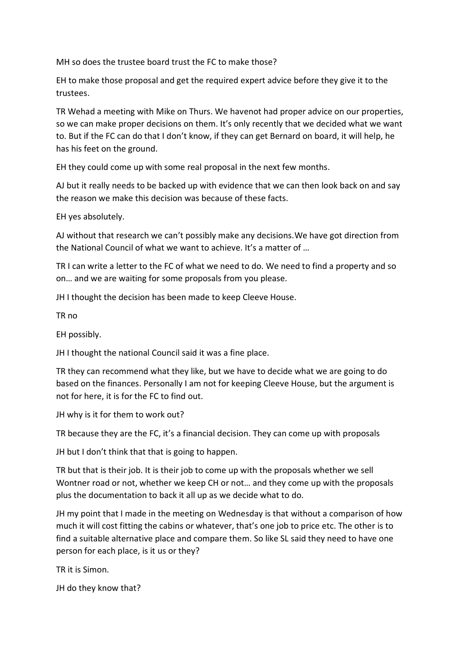MH so does the trustee board trust the FC to make those?

EH to make those proposal and get the required expert advice before they give it to the trustees.

TR Wehad a meeting with Mike on Thurs. We havenot had proper advice on our properties, so we can make proper decisions on them. It's only recently that we decided what we want to. But if the FC can do that I don't know, if they can get Bernard on board, it will help, he has his feet on the ground.

EH they could come up with some real proposal in the next few months.

AJ but it really needs to be backed up with evidence that we can then look back on and say the reason we make this decision was because of these facts.

EH yes absolutely.

AJ without that research we can't possibly make any decisions.We have got direction from the National Council of what we want to achieve. It's a matter of …

TR I can write a letter to the FC of what we need to do. We need to find a property and so on… and we are waiting for some proposals from you please.

JH I thought the decision has been made to keep Cleeve House.

TR no

EH possibly.

JH I thought the national Council said it was a fine place.

TR they can recommend what they like, but we have to decide what we are going to do based on the finances. Personally I am not for keeping Cleeve House, but the argument is not for here, it is for the FC to find out.

JH why is it for them to work out?

TR because they are the FC, it's a financial decision. They can come up with proposals

JH but I don't think that that is going to happen.

TR but that is their job. It is their job to come up with the proposals whether we sell Wontner road or not, whether we keep CH or not… and they come up with the proposals plus the documentation to back it all up as we decide what to do.

JH my point that I made in the meeting on Wednesday is that without a comparison of how much it will cost fitting the cabins or whatever, that's one job to price etc. The other is to find a suitable alternative place and compare them. So like SL said they need to have one person for each place, is it us or they?

TR it is Simon.

JH do they know that?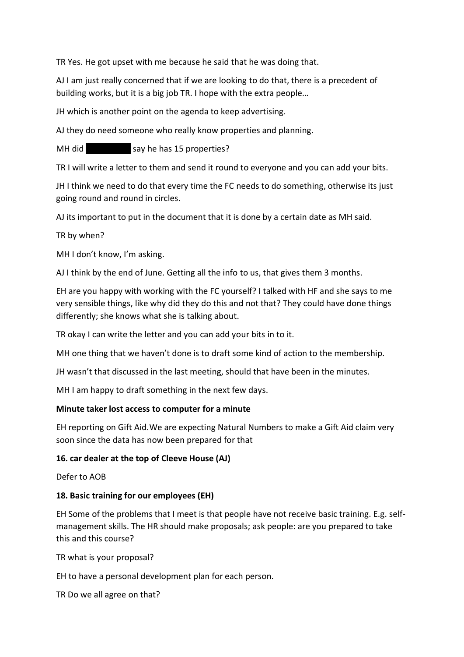TR Yes. He got upset with me because he said that he was doing that.

AJ I am just really concerned that if we are looking to do that, there is a precedent of building works, but it is a big job TR. I hope with the extra people…

JH which is another point on the agenda to keep advertising.

AJ they do need someone who really know properties and planning.

MH did say he has 15 properties?

TR I will write a letter to them and send it round to everyone and you can add your bits.

JH I think we need to do that every time the FC needs to do something, otherwise its just going round and round in circles.

AJ its important to put in the document that it is done by a certain date as MH said.

TR by when?

MH I don't know, I'm asking.

AJ I think by the end of June. Getting all the info to us, that gives them 3 months.

EH are you happy with working with the FC yourself? I talked with HF and she says to me very sensible things, like why did they do this and not that? They could have done things differently; she knows what she is talking about.

TR okay I can write the letter and you can add your bits in to it.

MH one thing that we haven't done is to draft some kind of action to the membership.

JH wasn't that discussed in the last meeting, should that have been in the minutes.

MH I am happy to draft something in the next few days.

#### **Minute taker lost access to computer for a minute**

EH reporting on Gift Aid.We are expecting Natural Numbers to make a Gift Aid claim very soon since the data has now been prepared for that

#### **16. car dealer at the top of Cleeve House (AJ)**

Defer to AOB

#### **18. Basic training for our employees (EH)**

EH Some of the problems that I meet is that people have not receive basic training. E.g. selfmanagement skills. The HR should make proposals; ask people: are you prepared to take this and this course?

TR what is your proposal?

EH to have a personal development plan for each person.

TR Do we all agree on that?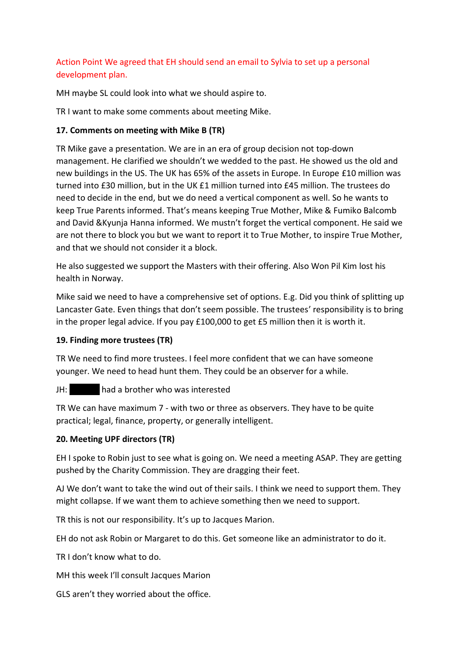# Action Point We agreed that EH should send an email to Sylvia to set up a personal development plan.

MH maybe SL could look into what we should aspire to.

TR I want to make some comments about meeting Mike.

# **17. Comments on meeting with Mike B (TR)**

TR Mike gave a presentation. We are in an era of group decision not top-down management. He clarified we shouldn't we wedded to the past. He showed us the old and new buildings in the US. The UK has 65% of the assets in Europe. In Europe £10 million was turned into £30 million, but in the UK £1 million turned into £45 million. The trustees do need to decide in the end, but we do need a vertical component as well. So he wants to keep True Parents informed. That's means keeping True Mother, Mike & Fumiko Balcomb and David &Kyunja Hanna informed. We mustn't forget the vertical component. He said we are not there to block you but we want to report it to True Mother, to inspire True Mother, and that we should not consider it a block.

He also suggested we support the Masters with their offering. Also Won Pil Kim lost his health in Norway.

Mike said we need to have a comprehensive set of options. E.g. Did you think of splitting up Lancaster Gate. Even things that don't seem possible. The trustees' responsibility is to bring in the proper legal advice. If you pay £100,000 to get £5 million then it is worth it.

# **19. Finding more trustees (TR)**

TR We need to find more trustees. I feel more confident that we can have someone younger. We need to head hunt them. They could be an observer for a while.

# JH: had a brother who was interested

TR We can have maximum 7 - with two or three as observers. They have to be quite practical; legal, finance, property, or generally intelligent.

### **20. Meeting UPF directors (TR)**

EH I spoke to Robin just to see what is going on. We need a meeting ASAP. They are getting pushed by the Charity Commission. They are dragging their feet.

AJ We don't want to take the wind out of their sails. I think we need to support them. They might collapse. If we want them to achieve something then we need to support.

TR this is not our responsibility. It's up to Jacques Marion.

EH do not ask Robin or Margaret to do this. Get someone like an administrator to do it.

TR I don't know what to do.

MH this week I'll consult Jacques Marion

GLS aren't they worried about the office.